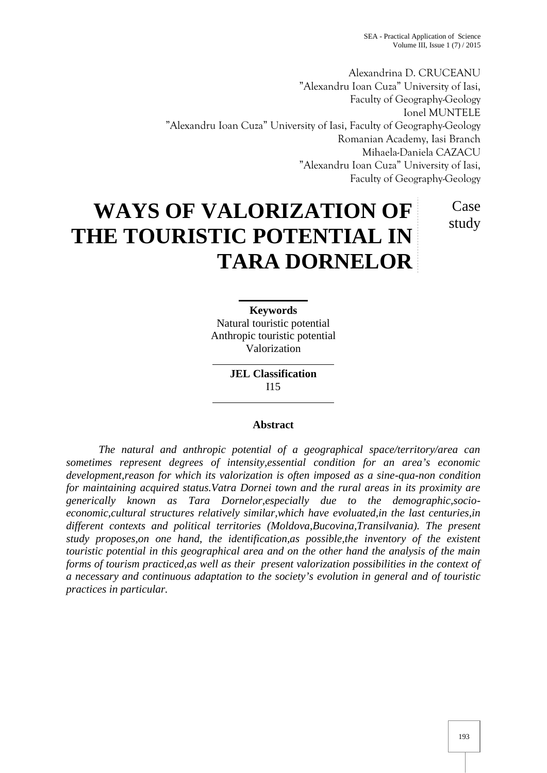Alexandrina D. CRUCEANU "Alexandru Ioan Cuza" University of Iasi, Faculty of Geography-Geology Ionel MUNTELE "Alexandru Ioan Cuza" University of Iasi, Faculty of Geography-Geology Romanian Academy, Iasi Branch Mihaela-Daniela CAZACU "Alexandru Ioan Cuza" University of Iasi, Faculty of Geography-Geology

# **WAYS OF VALORIZATION OF THE TOURISTIC POTENTIAL IN TARA DORNELOR** Case study

**Keywords** Natural touristic potential Anthropic touristic potential Valorization

> **JEL Classification** I15

## **Abstract**

*The natural and anthropic potential of a geographical space/territory/area can sometimes represent degrees of intensity,essential condition for an area's economic development,reason for which its valorization is often imposed as a sine-qua-non condition for maintaining acquired status.Vatra Dornei town and the rural areas in its proximity are generically known as Tara Dornelor,especially due to the demographic,socio economic,cultural structures relatively similar,which have evoluated,in the last centuries,in different contexts and political territories (Moldova,Bucovina,Transilvania). The present study proposes,on one hand, the identification,as possible,the inventory of the existent touristic potential in this geographical area and on the other hand the analysis of the main forms of tourism practiced,as well as their present valorization possibilities in the context of a necessary and continuous adaptation to the society's evolution in general and of touristic practices in particular.*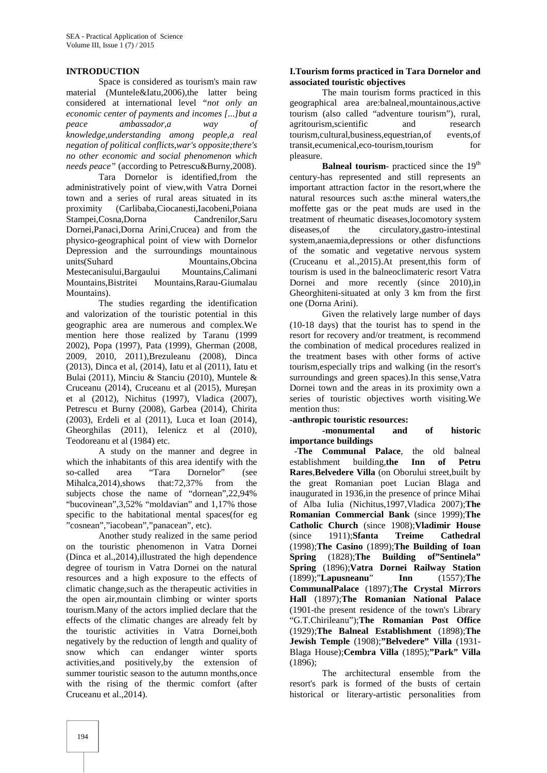# **INTRODUCTION**

Space is considered as tourism's main raw material (Muntele&Iatu,2006),the latter being considered at international level "*not only an economic center of payments and incomes [...]but a peace ambassador,a way of knowledge,understanding among people,a real negation of political conflicts,war's opposite;there's no other economic and social phenomenon which needs peace"* (according to Petrescu&Burny,2008).

Tara Dornelor is identified,from the administratively point of view,with Vatra Dornei town and a series of rural areas situated in its proximity (Carlibaba,Ciocanesti,Iacobeni,Poiana Stampei,Cosna,Dorna Candrenilor,Saru Dornei,Panaci,Dorna Arini,Crucea) and from the physico-geographical point of view with Dornelor Depression and the surroundings mountainous units(Suhard Mountains,Obcina Mestecanisului,Bargaului Mountains,Calimani Mountains,Bistritei Mountains,Rarau-Giumalau Mountains)

The studies regarding the identification and valorization of the touristic potential in this geographic area are numerous and complex.We mention here those realized by Taranu (1999 2002), Popa (1997), Pata (1999), Gherman (2008, 2009, 2010, 2011),Brezuleanu (2008), Dinca (2013), Dinca et al, (2014), Iatu et al (2011), Iatu et Bulai (2011), Minciu & Stanciu (2010), Muntele & Cruceanu (2014), Cruceanu et al (2015), Mure an et al (2012), Nichitus (1997), Vladica (2007), Petrescu et Burny (2008), Garbea (2014), Chirita (2003), Erdeli et al (2011), Luca et Ioan (2014), Gheorghilas (2011), Ielenicz et al (2010), Teodoreanu et al (1984) etc.

A study on the manner and degree in which the inhabitants of this area identify with the so-called area "Tara Dornelor" (see so-called area "Tara Dornelor" Mihalca, 2014), shows that: 72, 37% from the subjects chose the name of "dornean",22,94% "bucovinean",3,52% "moldavian" and 1,17% those specific to the habitational mental spaces(for eg "cosnean","iacobean","panacean", etc).

Another study realized in the same period on the touristic phenomenon in Vatra Dornei (Dinca et al.,2014),illustrated the high dependence degree of tourism in Vatra Dornei on the natural resources and a high exposure to the effects of climatic change,such as the therapeutic activities in the open air,mountain climbing or winter sports tourism.Many of the actors implied declare that the effects of the climatic changes are already felt by the touristic activities in Vatra Dornei,both negatively by the reduction of length and quality of snow which can endanger winter sports activities,and positively,by the extension of summer touristic season to the autumn months,once with the rising of the thermic comfort (after Cruceanu et al.,2014).

# **I.Tourism forms practiced in Tara Dornelor and associated touristic objectives**

The main tourism forms practiced in this geographical area are:balneal,mountainous,active tourism (also called "adventure tourism"), rural, agritourism,scientific and research tourism,cultural,business,equestrian,of events,of transit,ecumenical,eco-tourism,tourism pleasure.

**Balneal tourism**- practiced since the 19<sup>th</sup> century-has represented and still represents an important attraction factor in the resort,where the natural resources such as:the mineral waters,the moffette gas or the peat muds are used in the treatment of rheumatic diseases,locomotory system diseases,of the circulatory,gastro-intestinal system,anaemia,depressions or other disfunctions of the somatic and vegetative nervous system (Cruceanu et al.,2015).At present,this form of tourism is used in the balneoclimateric resort Vatra Dornei and more recently (since 2010),in Gheorghiteni-situated at only 3 km from the first one (Dorna Arini).

Given the relatively large number of days (10-18 days) that the tourist has to spend in the resort for recovery and/or treatment, is recommend the combination of medical procedures realized in the treatment bases with other forms of active tourism,especially trips and walking (in the resort's surroundings and green spaces).In this sense,Vatra Dornei town and the areas in its proximity own a series of touristic objectives worth visiting.We mention thus:

**-anthropic touristic resources:**

**-monumental and of historic importance buildings**

-**The Communal Palace**, the old balneal establishment building,**the Inn of Petru Rares**,**Belvedere Villa** (on Oborului street,built by the great Romanian poet Lucian Blaga and inaugurated in 1936,in the presence of prince Mihai of Alba Iulia (Nichitus,1997,Vladica 2007);**The Romanian Commercial Bank** (since 1999);**The Catholic Church** (since 1908);**Vladimir House** (since 1911);**Sfanta Treime Cathedral** (1998);**The Casino** (1899);**The Building of Ioan Spring** (1828);**The Building of"Sentinela" Spring** (1896);**Vatra Dornei Railway Station** (1899);"**Lapusneanu**" **Inn** (1557);**The CommunalPalace** (1897);**The Crystal Mirrors Hall** (1897);**The Romanian National Palace** (1901-the present residence of the town's Library "G.T.Chirileanu");**The Romanian Post Office** (1929);**The Balneal Establishment** (1898);**The Jewish Temple** (1908);**"Belvedere" Villa** (1931- Blaga House);**Cembra Villa** (1895);**"Park" Villa** (1896);

The architectural ensemble from the resort's park is formed of the busts of certain historical or literary-artistic personalities from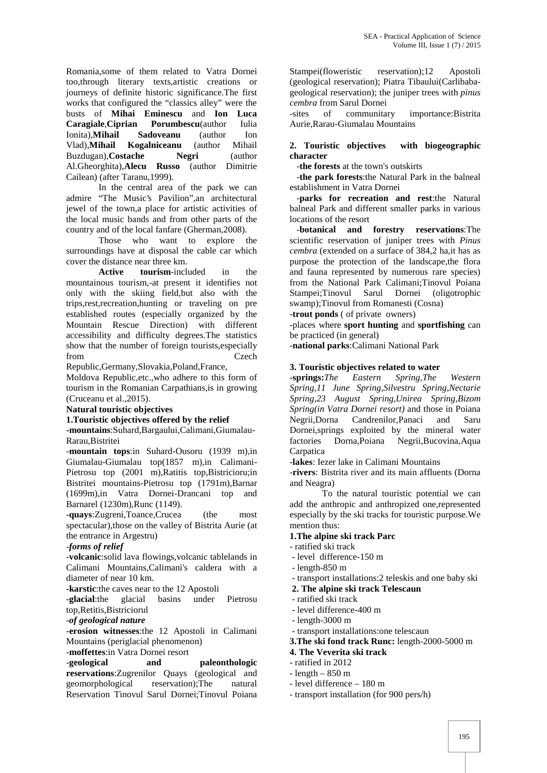Romania,some of them related to Vatra Dornei too,through literary texts,artistic creations or journeys of definite historic significance.The first works that configured the "classics alley" were the busts of **Mihai Eminescu** and **Ion Luca Caragiale**,**Ciprian Porumbescu**(author Iulia Ionita),**Mihail Sadoveanu** (author Ion Kogalniceanu Buzdugan),**Costache Negri** (author Al.Gheorghita),**Alecu Russo** (author Dimitrie Cailean) (after Taranu,1999).

In the central area of the park we can admire "The Music's Pavilion",an architectural jewel of the town,a place for artistic activities of the local music bands and from other parts of the country and of the local fanfare (Gherman,2008).

Those who want to explore the surroundings have at disposal the cable car which cover the distance near three km.

**Active tourism**-included in the mountainous tourism,-at present it identifies not only with the skiing field,but also with the trips,rest,recreation,hunting or traveling on pre established routes (especially organized by the Mountain Rescue Direction) with different accessibility and difficulty degrees.The statistics show that the number of foreign tourists,especially from Czech

Republic,Germany,Slovakia,Poland,France, Moldova Republic,etc.,who adhere to this form of tourism in the Romanian Carpathians,is in growing (Cruceanu et al.,2015).

**Natural touristic objectives**

#### **1.Touristic objectives offered by the relief**

**-mountains**:Suhard,Bargaului,Calimani,Giumalau- Rarau,Bistritei

-**mountain tops**:in Suhard-Ousoru (1939 m),in Giumalau-Giumalau top(1857 m),in Calimani- Pietrosu top (2001 m),Ratitis top,Bistricioru;in Bistritei mountains-Pietrosu top (1791m),Barnar (1699m),in Vatra Dornei-Drancani top and Barnarel (1230m),Runc (1149).

-**quays**:Zugreni,Toance,Crucea (the most spectacular),those on the valley of Bistrita Aurie (at the entrance in Argestru)

#### -*forms of relief*

-**volcanic**:solid lava flowings,volcanic tablelands in Calimani Mountains,Calimani's caldera with a diameter of near 10 km.

**-karstic**:the caves near to the 12 Apostoli

-**glacial**:the glacial basins under Pietrosu top,Retitis,Bistriciorul

-*of geological nature*

*-***erosion witnesses**:the 12 Apostoli in Calimani Mountains (periglacial phenomenon)

-**moffettes**:in Vatra Dornei resort

-**geological and paleonthologic reservations**:Zugrenilor Quays (geological and geomorphological reservation);The natural Reservation Tinovul Sarul Dornei;Tinovul Poiana

Stampei(floweristic reservation);12 Apostoli (geological reservation); Piatra Tibaului(Carlibaba geological reservation); the juniper trees with *pinus cembra* from Sarul Dornei

of communitary importance:Bistrita Aurie,Rarau-Giumalau Mountains

# **2. Touristic objectives with biogeographic character**

-**the forests** at the town's outskirts

-**the park forests**:the Natural Park in the balneal establishment in Vatra Dornei

-**parks for recreation and rest**:the Natural balneal Park and different smaller parks in various locations of the resort

-**botanical and forestry reservations**:The scientific reservation of juniper trees with *Pinus cembra* (extended on a surface of 384,2 ha,it has as purpose the protection of the landscape,the flora and fauna represented by numerous rare species) from the National Park Calimani;Tinovul Poiana Stampei;Tinovul Sarul Dornei (oligotrophic swamp);Tinovul from Romanesti (Cosna)

-**trout ponds** ( of private owners)

-places where **sport hunting** and **sportfishing** can be practiced (in general)

-**national parks**:Calimani National Park

# **3. Touristic objectives related to water**

-**springs:***The Eastern Spring,The Western Spring,11 June Spring,Silvestru Spring,Nectarie Spring,23 August Spring,Unirea Spring,Bizom Spring(in Vatra Dornei resort)* and those in Poiana Negrii,Dorna Candrenilor,Panaci and Saru Dornei,springs exploited by the mineral water factories Dorna,Poiana Negrii,Bucovina,Aqua **Carpatica** 

-**lakes**: Iezer lake in Calimani Mountains

-**rivers**: Bistrita river and its main affluents (Dorna and Neagra)

To the natural touristic potential we can add the anthropic and anthropized one,represented especially by the ski tracks for touristic purpose.We mention thus:

## **1.The alpine ski track Parc**

- ratified ski track
- level difference-150 m
- length-850 m
- transport installations:2 teleskis and one baby ski
- **2. The alpine ski track Telescaun**
- ratified ski track
- level difference-400 m
- length-3000 m
- transport installations:one telescaun
- **3.The ski fond track Runc:** length-2000-5000 m

## **4. The Veverita ski track**

- ratified in 2012
- length 850 m
- level difference 180 m
- transport installation (for 900 pers/h)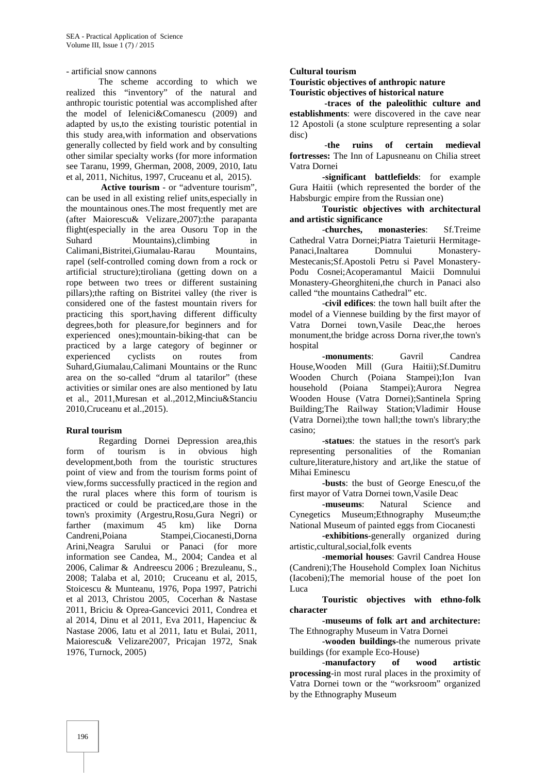- artificial snow cannons

The scheme according to which we realized this "inventory" of the natural and anthropic touristic potential was accomplished after the model of Ielenici&Comanescu (2009) and adapted by us,to the existing touristic potential in this study area,with information and observations generally collected by field work and by consulting other similar specialty works (for more information see Taranu, 1999, Gherman, 2008, 2009, 2010, Iatu et al, 2011, Nichitus, 1997, Cruceanu et al, 2015).

**Active tourism** - or "adventure tourism", can be used in all existing relief units,especially in the mountainous ones.The most frequently met are (after Maiorescu& Velizare,2007):the parapanta flight(especially in the area Ousoru Top in the Suhard Mountains), climbing in<br>Calimani. Bistritei. Giumalau-Rarau Mountains, Calimani, Bistritei, Giumalau-Rarau rapel (self-controlled coming down from a rock or artificial structure);tiroliana (getting down on a rope between two trees or different sustaining pillars);the rafting on Bistritei valley (the river is considered one of the fastest mountain rivers for practicing this sport,having different difficulty degrees,both for pleasure,for beginners and for experienced ones);mountain-biking-that can be practiced by a large category of beginner or experienced cyclists on routes from Suhard,Giumalau,Calimani Mountains or the Runc area on the so-called "drum al tatarilor" (these activities or similar ones are also mentioned by Iatu et al., 2011,Muresan et al.,2012,Minciu&Stanciu 2010,Cruceanu et al.,2015).

## **Rural tourism**

Regarding Dornei Depression area,this form of tourism is in obvious high development,both from the touristic structures point of view and from the tourism forms point of view,forms successfully practiced in the region and the rural places where this form of tourism is practiced or could be practiced,are those in the town's proximity (Argestru,Rosu,Gura Negri) or farther (maximum 45 km) like Dorna Candreni,Poiana Stampei,Ciocanesti,Dorna Arini,Neagra Sarului or Panaci (for more information see Candea, M., 2004; Candea et al 2006, Calimar & Andreescu 2006 ; Brezuleanu, S., 2008; Talaba et al, 2010; Cruceanu et al, 2015, Stoicescu & Munteanu, 1976, Popa 1997, Patrichi et al 2013, Christou 2005, Cocerhan & Nastase 2011, Briciu & Oprea-Gancevici 2011, Condrea et al 2014, Dinu et al 2011, Eva 2011, Hapenciuc & Nastase 2006, Iatu et al 2011, Iatu et Bulai, 2011, Maiorescu& Velizare2007, Pricajan 1972, Snak 1976, Turnock, 2005)

#### **Cultural tourism**

**Touristic objectives of anthropic nature Touristic objectives of historical nature**

**-traces of the paleolithic culture and establishments**: were discovered in the cave near 12 Apostoli (a stone sculpture representing a solar disc)

-**the ruins of certain medieval fortresses:** The Inn of Lapusneanu on Chilia street Vatra Dornei

**-significant battlefields**: for example Gura Haitii (which represented the border of the Habsburgic empire from the Russian one)

**Touristic objectives with architectural and artistic significance**

-**churches, monasteries**: Sf.Treime Cathedral Vatra Dornei;Piatra Taieturii Hermitage- Panaci,Inaltarea Domnului Monastery- Mestecanis;Sf.Apostoli Petru si Pavel Monastery- Podu Cosnei;Acoperamantul Maicii Domnului Monastery-Gheorghiteni,the church in Panaci also called "the mountains Cathedral" etc.

-**civil edifices**: the town hall built after the model of a Viennese building by the first mayor of Vatra Dornei town,Vasile Deac,the heroes monument,the bridge across Dorna river,the town's hospital

**-monuments**: Gavril Candrea House,Wooden Mill (Gura Haitii);Sf.Dumitru Wooden Church (Poiana Stampei);Ion Ivan household (Poiana Stampei);Aurora Negrea Wooden House (Vatra Dornei);Santinela Spring Building;The Railway Station;Vladimir House (Vatra Dornei);the town hall;the town's library;the casino;

-**statues**: the statues in the resort's park representing personalities of the Romanian culture,literature,history and art,like the statue of Mihai Eminescu

**-busts**: the bust of George Enescu,of the first mayor of Vatra Dornei town,Vasile Deac

**-museums**: Natural Science and Cynegetics Museum;Ethnography Museum;the National Museum of painted eggs from Ciocanesti

**-exhibitions**-generally organized during artistic,cultural,social,folk events

-**memorial houses**: Gavril Candrea House (Candreni);The Household Complex Ioan Nichitus (Iacobeni);The memorial house of the poet Ion Luca

**Touristic objectives with ethno-folk character**

**-museums of folk art and architecture:** The Ethnography Museum in Vatra Dornei

-**wooden buildings**-the numerous private buildings (for example Eco-House)

-**manufactory of wood artistic processing**-in most rural places in the proximity of Vatra Dornei town or the "worksroom" organized by the Ethnography Museum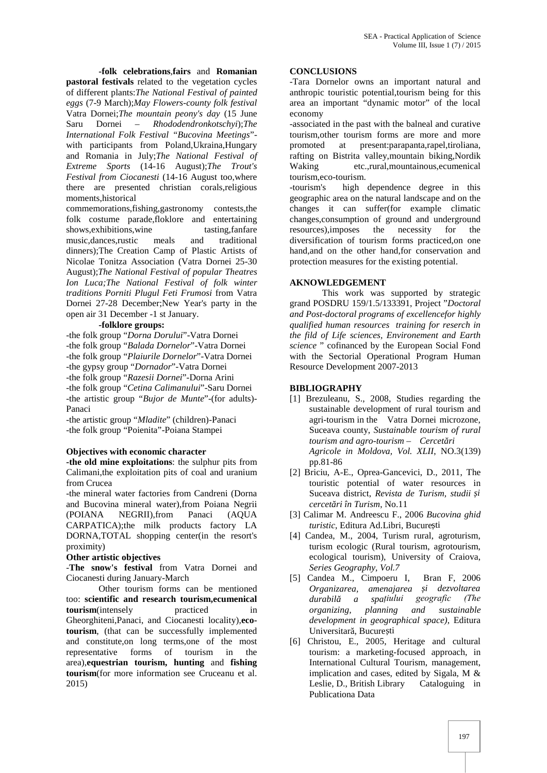**-folk celebrations**,**fairs** and **Romanian pastoral festivals** related to the vegetation cycles of different plants:*The National Festival of painted eggs* (7-9 March);*May Flowers-county folk festival* Vatra Dornei;*The mountain peony's day* (15 June Saru Dornei – *Rhododendronkotschyi*);*The International Folk Festival "Bucovina Meetings*" with participants from Poland, Ukraina, Hungary promoted and Romania in July;*The National Festival of Extreme Sports* (14-16 August);*The Trout's Festival from Ciocanesti* (14-16 August too,where there are presented christian corals,religious moments,historical

commemorations,fishing,gastronomy contests,the folk costume parade,floklore and entertaining<br>shows,exhibitions,wine tasting,fanfare shows, exhibitions, wine music,dances,rustic meals and traditional dinners);The Creation Camp of Plastic Artists of Nicolae Tonitza Association (Vatra Dornei 25-30 August);*The National Festival of popular Theatres Ion Luca;The National Festival of folk winter traditions Porniti Plugul Feti Frumosi* from Vatra Dornei 27-28 December;New Year's party in the open air 31 December -1 st January.

#### **-folklore groups:**

-the folk group "*Dorna Dorului*"-Vatra Dornei -the folk group "*Balada Dornelor*"-Vatra Dornei -the folk group "*Plaiurile Dornelor*"-Vatra Dornei -the gypsy group "*Dornador*"-Vatra Dornei -the folk group "*Razesii Dornei*"-Dorna Arini -the folk group "*Cetina Calimanului*"-Saru Dornei -the artistic group "*Bujor de Munte*"-(for adults)- Panaci

-the artistic group "*Mladite*" (children)-Panaci -the folk group "Poienita"-Poiana Stampei

# **Objectives with economic character**

**-the old mine exploitations**: the sulphur pits from Calimani,the exploitation pits of coal and uranium from Crucea

-the mineral water factories from Candreni (Dorna and Bucovina mineral water),from Poiana Negrii (POIANA NEGRII),from Panaci (AQUA CARPATICA);the milk products factory LA DORNA,TOTAL shopping center(in the resort's proximity)

## **Other artistic objectives**

-**The snow's festival** from Vatra Dornei and Ciocanesti during January-March

Other tourism forms can be mentioned too: **scientific and research tourism,ecumenical tourism**(intensely practiced in Gheorghiteni,Panaci, and Ciocanesti locality),**ecotourism**, (that can be successfully implemented and constitute,on long terms,one of the most representative forms of tourism in the area),**equestrian tourism, hunting** and **fishing tourism**(for more information see Cruceanu et al. 2015)

#### **CONCLUSIONS**

-Tara Dornelor owns an important natural and anthropic touristic potential,tourism being for this area an important "dynamic motor" of the local economy

-associated in the past with the balneal and curative tourism,other tourism forms are more and more at present:parapanta,rapel,tiroliana, rafting on Bistrita valley,mountain biking,Nordik Waking etc.,rural,mountainous,ecumenical tourism,eco-tourism.

-tourism's high dependence degree in this geographic area on the natural landscape and on the changes it can suffer(for example climatic changes,consumption of ground and underground resources),imposes the necessity for the diversification of tourism forms practiced,on one hand,and on the other hand,for conservation and protection measures for the existing potential.

## **AKNOWLEDGEMENT**

This work was supported by strategic grand POSDRU 159/1.5/133391, Project "*Doctoral and Post-doctoral programs of excellencefor highly qualified human resources training for reserch in the fild of Life sciences, Environement and Earth science* " cofinanced by the European Social Fond with the Sectorial Operational Program Human Resource Development 2007-2013

# **BIBLIOGRAPHY**

- [1] Brezuleanu, S., 2008, Studies regarding the sustainable development of rural tourism and agri-tourism in the Vatra Dornei microzone, Suceava county, *Sustainable tourism of rural tourism and agro-tourism – Cercet ri Agricole in Moldova, Vol. XLII*, NO.3(139) pp.81-86
- [2] Briciu, A-E., Oprea-Gancevici, D., 2011, The touristic potential of water resources in Suceava district, *Revista de Turism, studii și cercetări în Turism*, No.11
- [3] Calimar M. Andreescu F., 2006 *Bucovina ghid turistic*, Editura Ad.Libri, Bucure ți
- [4] Candea, M., 2004, Turism rural, agroturism, turism ecologic (Rural tourism, agrotourism, ecological tourism), University of Craiova, *Series Geography, Vol.7*
- [5] Candea M., Cimpoeru I, Bran F, 2006 *Organizarea, amenajarea și dezvoltarea durabilă a spațiului geografic (The organizing, planning and sustainable development in geographical space)*, Editura Universitar, Bucure ți
- [6] Christou, E., 2005, Heritage and cultural tourism: a marketing-focused approach, in International Cultural Tourism, management, implication and cases, edited by Sigala, M & Leslie, D., British Library Cataloguing in Publicationa Data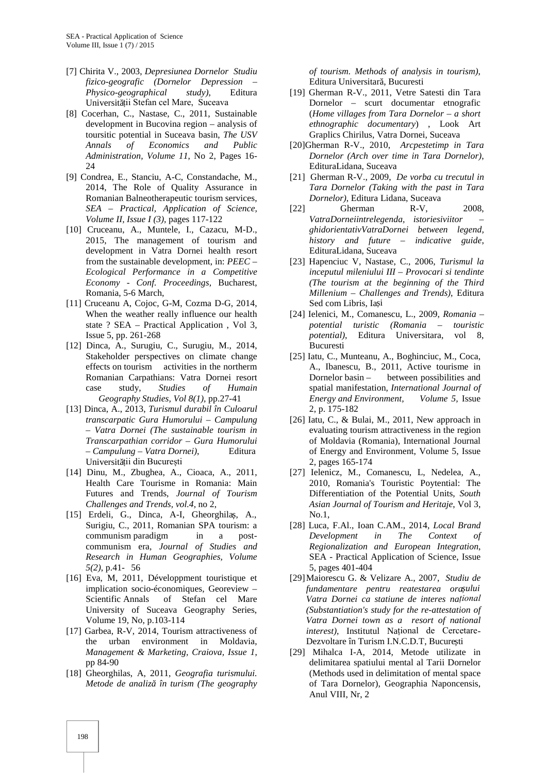- [7] Chirita V.*,* 2003, *Depresiunea Dornelor Studiu fizico-geografic (Dornelor Depression – Physico-geographical study)*, Editura Universit ții Stefan cel Mare, Suceava
- [8] Cocerhan, C., Nastase, C., 2011, Sustainable development in Bucovina region – analysis of toursitic potential in Suceava basin, *The USV Annals of Economics and Public Administration, Volume 11*, No 2, Pages 16- 24
- [9] Condrea, E., Stanciu, A-C, Constandache, M., 2014, The Role of Quality Assurance in Romanian Balneotherapeutic tourism services, *SEA – Practical, Application of Science, Volume II, Issue I (3),* pages 117-122
- [10] Cruceanu, A., Muntele, I., Cazacu, M-D., 2015, The management of tourism and development in Vatra Dornei health resort from the sustainable development, in: *PEEC – Ecological Performance in a Competitive Economy - Conf. Proceedings,* Bucharest, Romania, 5-6 March,
- [11] Cruceanu A, Cojoc, G-M, Cozma D-G, 2014, When the weather really influence our health state ? SEA – Practical Application , Vol 3, Issue 5, pp. 261-268
- [12] Dinca, A., Surugiu, C., Surugiu, M., 2014, Stakeholder perspectives on climate change effects on tourism activities in the northerm Romanian Carpathians: Vatra Dornei resort case study, *Studies of Humain Geography Studies, Vol 8(1),* pp.27-41
- [13] Dinca, A., 2013, *Turismul durabil în Culoarul transcarpatic Gura Humorului – Campulung – Vatra Dornei (The sustainable tourism in Transcarpathian corridor – Gura Humorului – Campulung – Vatra Dornei)*, Editura Universit ții din București
- [14] Dinu, M., Zbughea, A., Cioaca, A., 2011, Health Care Tourisme in Romania: Main Futures and Trends, *Journal of Tourism Challenges and Trends, vol.4,* no 2,
- [15] Erdeli, G., Dinca, A-I, Gheorghila, A., Surigiu, C., 2011, Romanian SPA tourism: a communism paradigm in a post communism era, *Journal of Studies and Research in Human Geographies, Volume 5(2)*, p.41- 56
- [16] Eva, M, 2011, Développment touristique et implication socio-économiques, Georeview – Scientific Annals of Stefan cel Mare University of Suceava Geography Series, Volume 19, No, p.103-114
- [17] Garbea, R-V, 2014, Tourism attractiveness of the urban environment in Moldavia, *Management & Marketing, Craiova, Issue 1*, pp 84-90
- [18] Gheorghilas, A, 2011, *Geografia turismului. Metode de analiză în turism (The geography*

*of tourism. Methods of analysis in tourism)*, Editura Universitar, Bucuresti

- [19] Gherman R-V., 2011, Vetre Satesti din Tara Dornelor – scurt documentar etnografic (*Home villages from Tara Dornelor – a short ethnographic documentary*) , Look Art Graplics Chirilus, Vatra Dornei, Suceava
- [20]Gherman R-V., 2010, *Arcpestetimp in Tara Dornelor (Arch over time in Tara Dornelor)*, EdituraLidana, Suceava
- [21] Gherman R-V., 2009, *De vorba cu trecutul in Tara Dornelor (Taking with the past in Tara Dornelor)*, Editura Lidana, Suceava
- [22] Gherman R-V, 2008, *VatraDorneiintrelegenda, istoriesiviitor – ghidorientativVatraDornei between legend, history and future – indicative guide*, EdituraLidana, Suceava
- [23] Hapenciuc V, Nastase, C., 2006, *Turismul la inceputul mileniului III – Provocari si tendinte (The tourism at the beginning of the Third Millenium – Challenges and Trends)*, Editura Sed com Libris, Ia i
- [24] Ielenici, M., Comanescu, L., 2009, *Romania – potential turistic (Romania – touristic potential)*, Editura Universitara, vol 8, Bucuresti
- [25] Iatu, C., Munteanu, A., Boghinciuc, M., Coca, A., Ibanescu, B., 2011, Active tourisme in Dornelor basin – between possibilities and spatial manifestation, *International Journal of Energy and Environment, Volume 5,* Issue 2, p. 175-182
- [26] Iatu, C., & Bulai, M., 2011, New approach in evaluating tourism attractiveness in the region of Moldavia (Romania), International Journal of Energy and Environment, Volume 5, Issue 2, pages 165-174
- [27] Ielenicz, M., Comanescu, L, Nedelea, A., 2010, Romania's Touristic Poytential: The Differentiation of the Potential Units, *South Asian Journal of Tourism and Heritaje*, Vol 3, No.1,
- [28] Luca, F.Al., Ioan C.AM., 2014, *Local Brand Development in The Context of Regionalization and European Integration*, SEA - Practical Application of Science, Issue 5, pages 401-404
- [29]Maiorescu G. & Velizare A., 2007, *Studiu de fundamentare pentru reatestarea orașului Vatra Dornei ca statiune de interes național (Substantiation's study for the re-attestation of Vatra Dornei town as a resort of national interest)*, Institutul Național de Cercetare- Dezvoltare în Turism I.N.C.D.T. Bucure ți
- [29] Mihalca I-A, 2014, Metode utilizate in delimitarea spatiului mental al Tarii Dornelor (Methods used in delimitation of mental space of Tara Dornelor), Geographia Naponcensis, Anul VIII, Nr, 2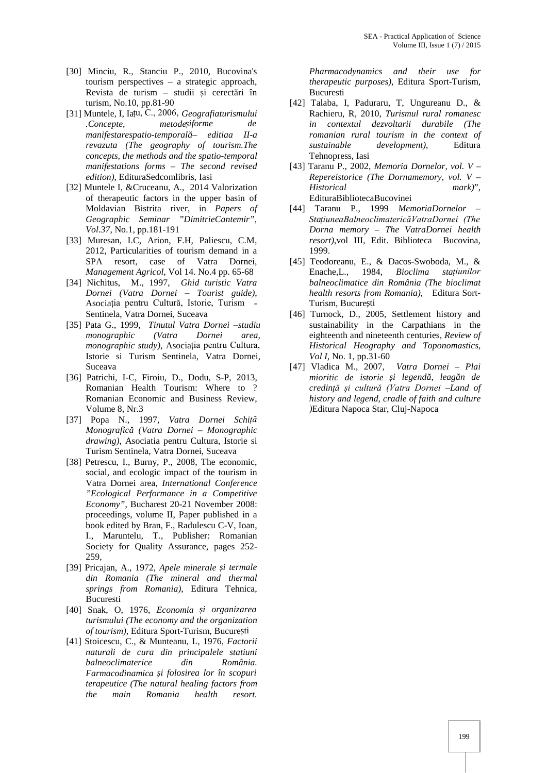- [30] Minciu, R., Stanciu P., 2010, Bucovina's tourism perspectives – a strategic approach, Revista de turism – studii i cerect ri în turism, No.10, pp.81-90
- [31] Muntele, I, Iațu, C., 2006, *Geografiaturismului .Concepte, metodeșiforme de manifestarespatio-temporală– editiaa II-a revazuta (The geography of tourism.The concepts, the methods and the spatio-temporal manifestations forms – The second revised edition)*, EdituraSedcomlibris, Iasi
- [32] Muntele I, &Cruceanu, A., 2014 Valorization of therapeutic factors in the upper basin of Moldavian Bistrita river, in *Papers of Geographic Seminar "DimitrieCantemir", Vol.37*, No.1, pp.181-191
- [33] Muresan, I.C, Arion, F.H, Paliescu, C.M, 2012, Particularities of tourism demand in a SPA resort, case of Vatra Dornei, *Management Agricol*, Vol 14. No.4 pp. 65-68
- [34] Nichitus, M., 1997, *Ghid turistic Vatra Dornei (Vatra Dornei – Tourist guide)*, Asociația pentru Cultură, Istorie, Turism - Sentinela, Vatra Dornei, Suceava
- [35] Pata G., 1999, *Tinutul Vatra Dornei –studiu monographic (Vatra Dornei area, monographic study)*, Asociația pentru Cultura, Istorie si Turism Sentinela, Vatra Dornei, Suceava
- [36] Patrichi, I-C, Firoiu, D., Dodu, S-P, 2013, Romanian Health Tourism: Where to ? Romanian Economic and Business Review, Volume 8, Nr.3
- [37] Popa N., 1997, *Vatra Dornei Schiță Monografică (Vatra Dornei – Monographic drawing)*, Asociatia pentru Cultura, Istorie si Turism Sentinela, Vatra Dornei, Suceava
- [38] Petrescu, I., Burny, P., 2008, The economic, social, and ecologic impact of the tourism in Vatra Dornei area*, International Conference "Ecological Performance in a Competitive Economy"*, Bucharest 20-21 November 2008: proceedings, volume II, Paper published in a book edited by Bran, F., Radulescu C-V, Ioan, I., Maruntelu, T., Publisher: Romanian Society for Quality Assurance, pages 252- 259,
- [39] Pricajan, A., 1972, *Apele minerale și termale din Romania (The mineral and thermal springs from Romania)*, Editura Tehnica, Bucuresti
- [40] Snak, O, 1976, *Economia și organizarea turismului (The economy and the organization of tourism*), Editura Sport-Turism, Bucure ti
- [41] Stoicescu, C., & Munteanu, L, 1976, *Factorii naturali de cura din principalele statiuni balneoclimaterice din România. Farmacodinamica și folosirea lor în scopuri terapeutice (The natural healing factors from the main Romania health resort.*

*Pharmacodynamics and their use for therapeutic purposes)*, Editura Sport-Turism, Bucuresti

- [42] Talaba, I, Paduraru, T, Ungureanu D., & Rachieru, R, 2010, *Turismul rural romanesc in contextul dezvoltarii durabile (The romanian rural tourism in the context of sustainable development)*, Editura Tehnopress, Iasi
- [43] Taranu P., 2002, *Memoria Dornelor, vol. V –Repereistorice (The Dornamemory, vol. V – Historical mark)*", EdituraBibliotecaBucovinei
- [44] Taranu P., 1999 *MemoriaDornelor – StațiuneaBalneoclimatericăVatraDornei (The Dorna memory – The VatraDornei health resort)*,vol III, Edit. Biblioteca Bucovina, 1999.
- [45] Teodoreanu, E., & Dacos-Swoboda, M., & Enache,L., 1984, *Bioclima stațiunilor balneoclimatice din România (The bioclimat health resorts from Romania)*, Editura Sort- Turism, Bucure ti
- [46] Turnock, D., 2005, Settlement history and sustainability in the Carpathians in the eighteenth and nineteenth centuries, *Review of Historical Heography and Toponomastics, Vol I,* No. 1, pp.31-60
- [47] Vladica M., 2007, *Vatra Dornei – Plai mioritic de istorie i legend, leag n de credință și cultură (Vatra Dornei –Land of history and legend, cradle of faith and culture )*Editura Napoca Star, Cluj-Napoca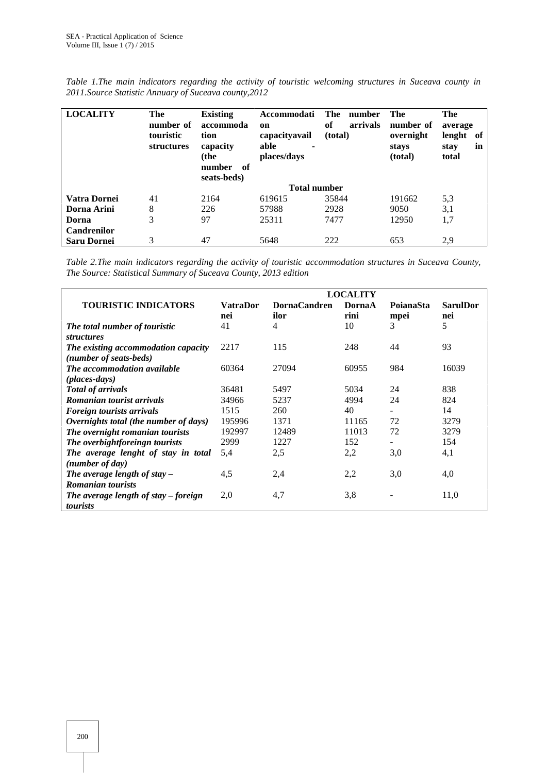| <b>LOCALITY</b>    | The<br>number of<br>touristic<br>structures | <b>Existing</b><br>accommoda<br>tion<br>capacity<br>(the<br>of<br>number<br>seats-beds) | Accommodati<br>on<br>capacityavail<br>able<br>٠<br>places/days | The<br>number<br>of<br>arrivals<br>(total) | The<br>number of<br>overnight<br>stays<br>(total) | The<br>average<br>lenght<br>of<br>in<br>stay<br>total |  |  |
|--------------------|---------------------------------------------|-----------------------------------------------------------------------------------------|----------------------------------------------------------------|--------------------------------------------|---------------------------------------------------|-------------------------------------------------------|--|--|
|                    |                                             | <b>Total number</b>                                                                     |                                                                |                                            |                                                   |                                                       |  |  |
| Vatra Dornei       | 41                                          | 2164                                                                                    | 619615                                                         | 35844                                      | 191662                                            | 5,3                                                   |  |  |
| Dorna Arini        | 8                                           | 226                                                                                     | 57988                                                          | 2928                                       | 9050                                              | 3,1                                                   |  |  |
| Dorna              | 3                                           | 97                                                                                      | 25311                                                          | 7477                                       | 12950                                             | 1,7                                                   |  |  |
| <b>Candrenilor</b> |                                             |                                                                                         |                                                                |                                            |                                                   |                                                       |  |  |
| <b>Saru Dornei</b> | 3                                           | 47                                                                                      | 5648                                                           | 222                                        | 653                                               | 2.9                                                   |  |  |

*Table 1.The main indicators regarding the activity of touristic welcoming structures in Suceava county in 2011.Source Statistic Annuary of Suceava county,2012*

*Table 2.The main indicators regarding the activity of touristic accommodation structures in Suceava County, The Source: Statistical Summary of Suceava County, 2013 edition*

|                                                            | <b>LOCALITY</b>        |                             |                |                          |                        |  |  |
|------------------------------------------------------------|------------------------|-----------------------------|----------------|--------------------------|------------------------|--|--|
| <b>TOURISTIC INDICATORS</b>                                | <b>VatraDor</b><br>nei | <b>DornaCandren</b><br>ilor | DornaA<br>rini | <b>PoianaSta</b><br>mpei | <b>SarulDor</b><br>nei |  |  |
| The total number of touristic<br><i>structures</i>         | 41                     | 4                           | 10             | 3                        | 5                      |  |  |
| The existing accommodation capacity                        | 2217                   | 115                         | 248            | 44                       | 93                     |  |  |
| (number of seats-beds)<br>The accommodation available      | 60364                  | 27094                       | 60955          | 984                      | 16039                  |  |  |
| $(\rho$ laces-days)<br><b>Total of arrivals</b>            | 36481                  | 5497                        | 5034           | 24                       | 838                    |  |  |
| Romanian tourist arrivals                                  | 34966                  | 5237                        | 4994           | 24                       | 824                    |  |  |
| <b>Foreign tourists arrivals</b>                           | 1515                   | 260                         | 40             | $\sim$                   | 14                     |  |  |
| Overnights total (the number of days)                      | 195996                 | 1371                        | 11165          | 72                       | 3279                   |  |  |
| The overnight romanian tourists                            | 192997                 | 12489                       | 11013          | 72                       | 3279                   |  |  |
| The overbightforeingn tourists                             | 2999                   | 1227                        | 152            |                          | 154                    |  |  |
| The average lenght of stay in total<br>(number of day)     | 5.4                    | 2,5                         | 2,2            | 3,0                      | 4,1                    |  |  |
| The average length of stay $-$<br><b>Romanian tourists</b> | 4,5                    | 2,4                         | 2,2            | 3,0                      | 4,0                    |  |  |
| The average length of stay $-$ foreign<br>tourists         | 2,0                    | 4,7                         | 3,8            |                          | 11,0                   |  |  |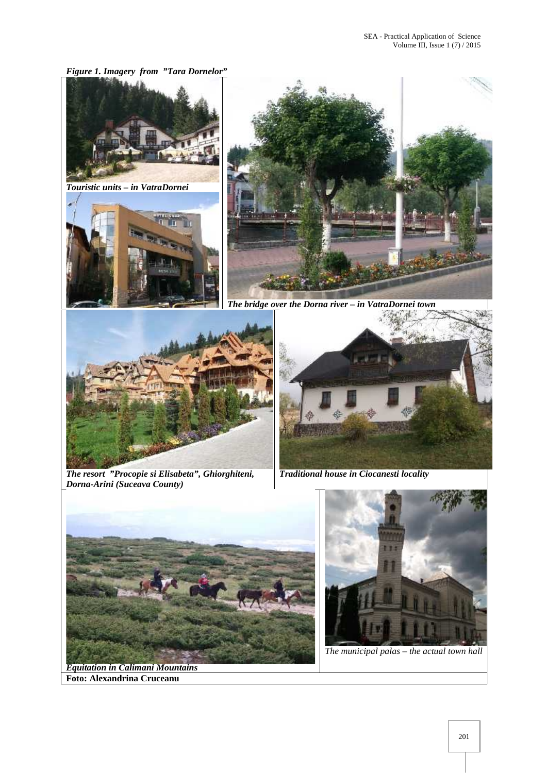*Figure 1. Imagery from "Tara Dornelor"*



*Equitation in Calimani Mountains* **Foto: Alexandrina Cruceanu**